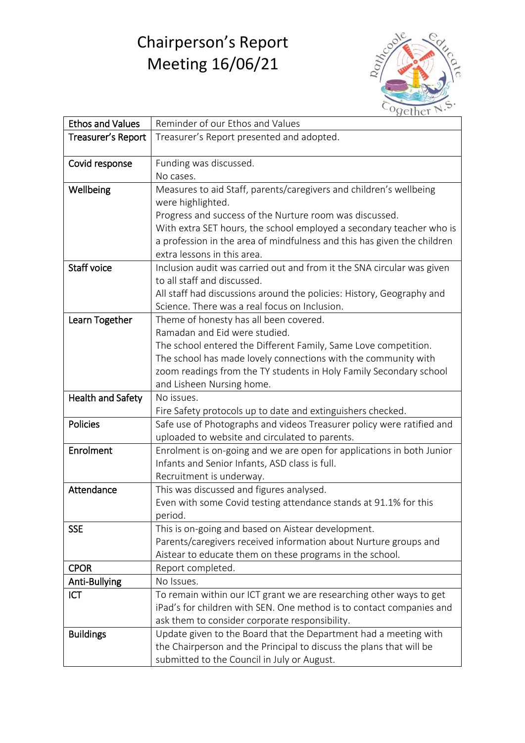## Chairperson's Report Meeting 16/06/21



| <b>Ethos and Values</b> | Reminder of our Ethos and Values                                        |
|-------------------------|-------------------------------------------------------------------------|
| Treasurer's Report      | Treasurer's Report presented and adopted.                               |
|                         |                                                                         |
| Covid response          | Funding was discussed.                                                  |
|                         | No cases.                                                               |
| Wellbeing               | Measures to aid Staff, parents/caregivers and children's wellbeing      |
|                         | were highlighted.                                                       |
|                         | Progress and success of the Nurture room was discussed.                 |
|                         | With extra SET hours, the school employed a secondary teacher who is    |
|                         | a profession in the area of mindfulness and this has given the children |
|                         | extra lessons in this area.                                             |
| <b>Staff voice</b>      | Inclusion audit was carried out and from it the SNA circular was given  |
|                         | to all staff and discussed.                                             |
|                         | All staff had discussions around the policies: History, Geography and   |
|                         | Science. There was a real focus on Inclusion.                           |
| Learn Together          | Theme of honesty has all been covered.                                  |
|                         | Ramadan and Eid were studied.                                           |
|                         | The school entered the Different Family, Same Love competition.         |
|                         | The school has made lovely connections with the community with          |
|                         | zoom readings from the TY students in Holy Family Secondary school      |
|                         | and Lisheen Nursing home.                                               |
| Health and Safety       | No issues.                                                              |
|                         | Fire Safety protocols up to date and extinguishers checked.             |
| Policies                | Safe use of Photographs and videos Treasurer policy were ratified and   |
|                         | uploaded to website and circulated to parents.                          |
| Enrolment               | Enrolment is on-going and we are open for applications in both Junior   |
|                         | Infants and Senior Infants, ASD class is full.                          |
|                         | Recruitment is underway.                                                |
| Attendance              | This was discussed and figures analysed.                                |
|                         | Even with some Covid testing attendance stands at 91.1% for this        |
|                         | period.                                                                 |
| <b>SSE</b>              | This is on-going and based on Aistear development.                      |
|                         | Parents/caregivers received information about Nurture groups and        |
|                         | Aistear to educate them on these programs in the school.                |
| <b>CPOR</b>             | Report completed.                                                       |
| Anti-Bullying           | No Issues.                                                              |
| <b>ICT</b>              | To remain within our ICT grant we are researching other ways to get     |
|                         | iPad's for children with SEN. One method is to contact companies and    |
|                         | ask them to consider corporate responsibility.                          |
| <b>Buildings</b>        | Update given to the Board that the Department had a meeting with        |
|                         | the Chairperson and the Principal to discuss the plans that will be     |
|                         | submitted to the Council in July or August.                             |